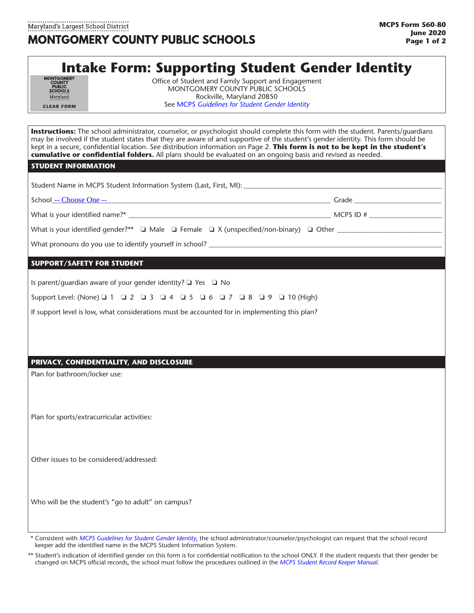# **Intake Form: Supporting Student Gender Identity**

| <b>MONTGOMERY</b><br><b>COUNTY</b><br><b>PURLIC</b><br><b>SCHOOLS</b><br>Maryland |
|-----------------------------------------------------------------------------------|
| <b>CLEAR FORM</b>                                                                 |

Office of Student and Family Support and Engagement MONTGOMERY COUNTY PUBLIC SCHOOLS Rockville, Maryland 20850 See MCPS *[Guidelines for Student Gender Identity](https://www.montgomeryschoolsmd.org/students/rights/)*

**Instructions:** The school administrator, counselor, or psychologist should complete this form with the student. Parents/guardians may be involved if the student states that they are aware of and supportive of the student's gender identity. This form should be kept in a secure, confidential location. See distribution information on Page 2. **This form is not to be kept in the student's cumulative or confidential folders.** All plans should be evaluated on an ongoing basis and revised as needed.

#### **STUDENT INFORMATION**

Is parent/guardian aware of your gender identity?  $\Box$  Yes  $\Box$  No

Support Level: (None) 0 1 0 2 0 3 0 4 0 5 0 6 0 7 0 8 0 9 0 10 (High)

If support level is low, what considerations must be accounted for in implementing this plan?

## **PRIVACY, CONFIDENTIALITY, AND DISCLOSURE**

Plan for bathroom/locker use:

Plan for sports/extracurricular activities:

Other issues to be considered/addressed:

Who will be the student's "go to adult" on campus?

<sup>\*\*</sup> Consistent with *[MCPS Guidelines for Student Gender Identity](https://www.montgomeryschoolsmd.org/students/rights/)*, the school administrator/counselor/psychologist can request that the school record keeper add the identified name in [the MCPS Student Information System.](https://www.montgomeryschoolsmd.org/departments/forms/detail.aspx?formNumber=565-1&catID=1&subCatId=25)

Student's indication of identified gender on this form is for confidential notification to the school ONLY. If the student requests that their gender be changed on MCPS official records, the school must follow the procedures outlined in the *[MCPS Student Record Keeper Manual](https://www.montgomeryschoolsmd.org/uploadedFiles/departments/sharedaccountability/StudentRecordKeeperManual.pdf)*.